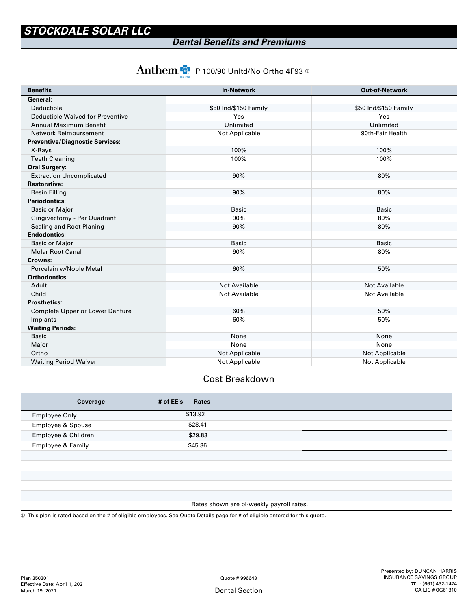### *Dental Benefits and Premiums*

# $\text{Anthem.}$  P 100/90 Unltd/No Ortho 4F93  $\textcircled{\tiny{2}}$

| <b>Benefits</b>                        | <b>In-Network</b>     | <b>Out-of-Network</b> |  |
|----------------------------------------|-----------------------|-----------------------|--|
| General:                               |                       |                       |  |
| Deductible                             | \$50 Ind/\$150 Family | \$50 Ind/\$150 Family |  |
| Deductible Waived for Preventive       | Yes                   | Yes                   |  |
| Annual Maximum Benefit                 | Unlimited             | Unlimited             |  |
| Network Reimbursement                  | Not Applicable        | 90th-Fair Health      |  |
| <b>Preventive/Diagnostic Services:</b> |                       |                       |  |
| X-Rays                                 | 100%                  | 100%                  |  |
| <b>Teeth Cleaning</b>                  | 100%                  | 100%                  |  |
| <b>Oral Surgery:</b>                   |                       |                       |  |
| <b>Extraction Uncomplicated</b>        | 90%                   | 80%                   |  |
| <b>Restorative:</b>                    |                       |                       |  |
| <b>Resin Filling</b>                   | 90%                   | 80%                   |  |
| <b>Periodontics:</b>                   |                       |                       |  |
| <b>Basic or Major</b>                  | <b>Basic</b>          | <b>Basic</b>          |  |
| Gingivectomy - Per Quadrant            | 90%                   | 80%                   |  |
| Scaling and Root Planing               | 90%                   | 80%                   |  |
| <b>Endodontics:</b>                    |                       |                       |  |
| <b>Basic or Major</b>                  | <b>Basic</b>          | <b>Basic</b>          |  |
| <b>Molar Root Canal</b>                | 90%                   | 80%                   |  |
| Crowns:                                |                       |                       |  |
| Porcelain w/Noble Metal                | 60%                   | 50%                   |  |
| <b>Orthodontics:</b>                   |                       |                       |  |
| Adult                                  | <b>Not Available</b>  | Not Available         |  |
| Child                                  | <b>Not Available</b>  | <b>Not Available</b>  |  |
| <b>Prosthetics:</b>                    |                       |                       |  |
| Complete Upper or Lower Denture        | 60%                   | 50%                   |  |
| Implants                               | 60%                   | 50%                   |  |
| <b>Waiting Periods:</b>                |                       |                       |  |
| <b>Basic</b>                           | None                  | None                  |  |
| Major                                  | None                  | None                  |  |
| Ortho                                  | Not Applicable        | Not Applicable        |  |
| <b>Waiting Period Waiver</b>           | Not Applicable        | <b>Not Applicable</b> |  |

#### Cost Breakdown

| Coverage             | # of $EE's$<br><b>Rates</b>              |  |
|----------------------|------------------------------------------|--|
| <b>Employee Only</b> | \$13.92                                  |  |
| Employee & Spouse    | \$28.41                                  |  |
| Employee & Children  | \$29.83                                  |  |
| Employee & Family    | \$45.36                                  |  |
|                      |                                          |  |
|                      |                                          |  |
|                      |                                          |  |
|                      |                                          |  |
|                      |                                          |  |
|                      | Rates shown are bi-weekly payroll rates. |  |

① This plan is rated based on the # of eligible employees. See Quote Details page for # of eligible entered for this quote.